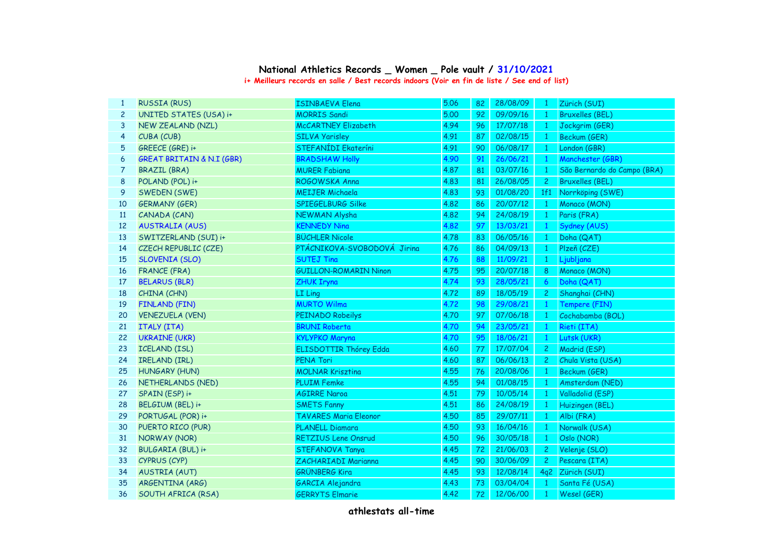## **National Athletics Records \_ Women \_ Pole vault / 31/10/2021**

**i+ Meilleurs records en salle / Best records indoors (Voir en fin de liste / See end of list)**

| 1            | <b>RUSSIA (RUS)</b>                  | <b>ISINBAEVA Elena</b>        | 5.06 | 82 | 28/08/09 | $\mathbf{1}$   | Zürich (SUI)                |
|--------------|--------------------------------------|-------------------------------|------|----|----------|----------------|-----------------------------|
| $\mathbf{2}$ | UNITED STATES (USA) i+               | <b>MORRIS Sandi</b>           | 5.00 | 92 | 09/09/16 | -1             | <b>Bruxelles (BEL)</b>      |
| 3            | NEW ZEALAND (NZL)                    | <b>McCARTNEY Elizabeth</b>    | 4.94 | 96 | 17/07/18 | $\mathbf{1}$   | Jockgrim (GER)              |
| 4            | CUBA (CUB)                           | <b>SILVA Yarisley</b>         | 4.91 | 87 | 02/08/15 | -1             | Beckum (GER)                |
| 5            | GREECE (GRE) i+                      | STEFANÍDI Ekateríni           | 4.91 | 90 | 06/08/17 | $\mathbf{1}$   | London (GBR)                |
| 6            | <b>GREAT BRITAIN &amp; N.I (GBR)</b> | <b>BRADSHAW Holly</b>         | 4.90 | 91 | 26/06/21 | $\mathbf{1}$   | Manchester (GBR)            |
| 7            | <b>BRAZIL (BRA)</b>                  | <b>MURER Fabiana</b>          | 4.87 | 81 | 03/07/16 | $\mathbf{1}$   | São Bernardo do Campo (BRA) |
| 8            | POLAND (POL) i+                      | ROGOWSKA Anna                 | 4.83 | 81 | 26/08/05 | $\mathbf{2}$   | <b>Bruxelles (BEL)</b>      |
| 9            | SWEDEN (SWE)                         | <b>MEIJER Michaela</b>        | 4.83 | 93 | 01/08/20 | 1f1            | Norrköping (SWE)            |
| 10           | <b>GERMANY (GER)</b>                 | SPIEGELBURG Silke             | 4.82 | 86 | 20/07/12 | $\overline{1}$ | Monaco (MON)                |
| 11           | CANADA (CAN)                         | <b>NEWMAN Alysha</b>          | 4.82 | 94 | 24/08/19 | $\sqrt{1}$     | Paris (FRA)                 |
| 12           | <b>AUSTRALIA (AUS)</b>               | <b>KENNEDY Nina</b>           | 4.82 | 97 | 13/03/21 | $\mathbf{1}$   | Sydney (AUS)                |
| 13           | SWITZERLAND (SUI) i+                 | <b>BÜCHLER Nicole</b>         | 4.78 | 83 | 06/05/16 | $\mathbf{1}$   | Doha (QAT)                  |
| 14           | CZECH REPUBLIC (CZE)                 | PTÁCNIKOVA-SVOBODOVÁ Jirina   | 4.76 | 86 | 04/09/13 | $\mathbf{1}$   | Plzeň (CZE)                 |
| 15           | <b>SLOVENIA (SLO)</b>                | <b>SUTEJ Tina</b>             | 4.76 | 88 | 11/09/21 | -1             | Ljubljana                   |
| 16           | <b>FRANCE (FRA)</b>                  | <b>GUILLON-ROMARIN Ninon</b>  | 4.75 | 95 | 20/07/18 | 8              | Monaco (MON)                |
| 17           | <b>BELARUS (BLR)</b>                 | <b>ZHUK Iryna</b>             | 4.74 | 93 | 28/05/21 | 6              | Doha (QAT)                  |
| 18           | CHINA (CHN)                          | LI Ling                       | 4.72 | 89 | 18/05/19 | $\mathbf{2}$   | Shanghai (CHN)              |
| 19           | <b>FINLAND (FIN)</b>                 | <b>MURTO Wilma</b>            | 4.72 | 98 | 29/08/21 | $\mathbf{1}$   | Tempere (FIN)               |
| 20           | <b>VENEZUELA (VEN)</b>               | PEINADO Robeilys              | 4.70 | 97 | 07/06/18 | $\blacksquare$ | Cochabamba (BOL)            |
| 21           | <b>ITALY (ITA)</b>                   | <b>BRUNI Roberta</b>          | 4.70 | 94 | 23/05/21 | $\mathbf{1}$   | Rieti (ITA)                 |
| 22           | <b>UKRAINE (UKR)</b>                 | <b>KYLYPKO Maryna</b>         | 4.70 | 95 | 18/06/21 | $\mathbf{1}$   | Lutsk (UKR)                 |
| 23           | <b>ICELAND (ISL)</b>                 | <b>ELISDOTTIR Thórey Edda</b> | 4.60 | 77 | 17/07/04 | $\mathbf{2}$   | Madrid (ESP)                |
| 24           | IRELAND (IRL)                        | PENA Tori                     | 4.60 | 87 | 06/06/13 | $\mathbf{2}$   | Chula Vista (USA)           |
| 25           | <b>HUNGARY (HUN)</b>                 | <b>MOLNAR Krisztina</b>       | 4.55 | 76 | 20/08/06 | $\mathbf{1}$   | Beckum (GER)                |
| 26           | NETHERLANDS (NED)                    | <b>PLUIM Femke</b>            | 4.55 | 94 | 01/08/15 | $\mathbf{1}$   | Amsterdam (NED)             |
| 27           | SPAIN (ESP) i+                       | <b>AGIRRE Naroa</b>           | 4.51 | 79 | 10/05/14 | $\mathbf{1}$   | Valladolid (ESP)            |
| 28           | BELGIUM (BEL) i+                     | <b>SMETS Fanny</b>            | 4.51 | 86 | 24/08/19 | $\mathbf{1}$   | Huizingen (BEL)             |
| 29           | PORTUGAL (POR) i+                    | <b>TAVARES Maria Eleonor</b>  | 4.50 | 85 | 29/07/11 | $\mathbf{1}$   | Albi (FRA)                  |
| 30           | PUERTO RICO (PUR)                    | PLANELL Diamara               | 4.50 | 93 | 16/04/16 | $\mathbf{1}$   | Norwalk (USA)               |
| 31           | <b>NORWAY (NOR)</b>                  | <b>RETZIUS Lene Onsrud</b>    | 4.50 | 96 | 30/05/18 | $\mathbf{1}$   | Oslo (NOR)                  |
| 32           | BULGARIA (BUL) i+                    | STEFANOVA Tanya               | 4.45 | 72 | 21/06/03 | $\mathbf{2}$   | Velenje (SLO)               |
| 33           | CYPRUS (CYP)                         | ZACHARIADI Marianna           | 4.45 | 90 | 30/06/09 | $\mathbf{2}$   | Pescara (ITA)               |
| 34           | <b>AUSTRIA (AUT)</b>                 | <b>GRÜNBERG Kira</b>          | 4.45 | 93 | 12/08/14 |                | 4q2 Zürich (SUI)            |
| 35           | ARGENTINA (ARG)                      | GARCIA Alejandra              | 4.43 | 73 | 03/04/04 | $\mathbf{1}$   | Santa Fé (USA)              |
| 36           | SOUTH AFRICA (RSA)                   | <b>GERRYTS Elmarie</b>        | 4.42 | 72 | 12/06/00 | $\mathbf{1}$   | Wesel (GER)                 |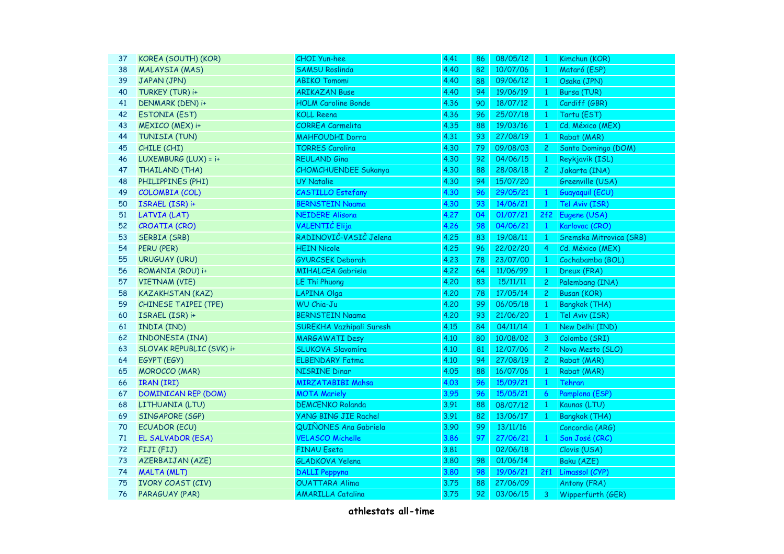| 37 | KOREA (SOUTH) (KOR)         | <b>CHOI Yun-hee</b>         | 4.41 | 86 | 08/05/12 | $\mathbf{1}$   | Kimchun (KOR)           |
|----|-----------------------------|-----------------------------|------|----|----------|----------------|-------------------------|
| 38 | <b>MALAYSIA (MAS)</b>       | <b>SAMSU Roslinda</b>       | 4.40 | 82 | 10/07/06 | $\mathbf{1}$   | Mataró (ESP)            |
| 39 | JAPAN (JPN)                 | <b>ABIKO Tomomi</b>         | 4.40 | 88 | 09/06/12 | $\mathbf{1}$   | Osaka (JPN)             |
| 40 | TURKEY (TUR) i+             | <b>ARIKAZAN Buse</b>        | 4.40 | 94 | 19/06/19 | $\mathbf{1}$   | Bursa (TUR)             |
| 41 | <b>DENMARK (DEN) i+</b>     | <b>HOLM Caroline Bonde</b>  | 4.36 | 90 | 18/07/12 | $\mathbf{1}$   | Cardiff (GBR)           |
| 42 | <b>ESTONIA (EST)</b>        | <b>KOLL Reena</b>           | 4.36 | 96 | 25/07/18 | $\mathbf{1}$   | Tartu (EST)             |
| 43 | MEXICO (MEX) i+             | <b>CORREA Carmelita</b>     | 4.35 | 88 | 19/03/16 | $\mathbf{1}$   | Cd. México (MEX)        |
| 44 | TUNISIA (TUN)               | <b>MAHFOUDHI Dorra</b>      | 4.31 | 93 | 27/08/19 | $\overline{1}$ | Rabat (MAR)             |
| 45 | CHILE (CHI)                 | <b>TORRES Carolina</b>      | 4.30 | 79 | 09/08/03 | 2 <sup>1</sup> | Santo Domingo (DOM)     |
| 46 | LUXEMBURG (LUX) = i+        | <b>REULAND Gina</b>         | 4.30 | 92 | 04/06/15 | $\mathbf{1}$   | Reykjavík (ISL)         |
| 47 | THAILAND (THA)              | <b>CHOMCHUENDEE Sukanya</b> | 4.30 | 88 | 28/08/18 | 2 <sub>1</sub> | Jakarta (INA)           |
| 48 | PHILIPPINES (PHI)           | <b>UY Natalie</b>           | 4.30 | 94 | 15/07/20 |                | Greenville (USA)        |
| 49 | COLOMBIA (COL)              | <b>CASTILLO Estefany</b>    | 4.30 | 96 | 29/05/21 | $\mathbf{1}$   | Guayaquil (ECU)         |
| 50 | ISRAEL (ISR) i+             | <b>BERNSTEIN Naama</b>      | 4.30 | 93 | 14/06/21 | $\overline{1}$ | Tel Aviv (ISR)          |
| 51 | <b>LATVIA (LAT)</b>         | <b>NEIDERE Alisona</b>      | 4.27 | 04 | 01/07/21 |                | 2f2 Eugene (USA)        |
| 52 | <b>CROATIA (CRO)</b>        | <b>VALENTIĆ</b> Elija       | 4.26 | 98 | 04/06/21 | $\mathbf{1}$   | Karlovac (CRO)          |
| 53 | SERBIA (SRB)                | RADINOVIČ-VASIČ Jelena      | 4.25 | 83 | 19/08/11 | $\overline{1}$ | Sremska Mitrovica (SRB) |
| 54 | PERU (PER)                  | <b>HEIN Nicole</b>          | 4.25 | 96 | 22/02/20 | $\overline{4}$ | Cd. México (MEX)        |
| 55 | <b>URUGUAY (URU)</b>        | <b>GYURCSEK Deborah</b>     | 4.23 | 78 | 23/07/00 | $\mathbf{1}$   | Cochabamba (BOL)        |
| 56 | ROMANIA (ROU) i+            | <b>MIHALCEA Gabriela</b>    | 4.22 | 64 | 11/06/99 | $\mathbf{1}$   | Dreux (FRA)             |
| 57 | <b>VIETNAM (VIE)</b>        | <b>LE Thi Phuong</b>        | 4.20 | 83 | 15/11/11 | $\mathbf{2}$   | Palembang (INA)         |
| 58 | <b>KAZAKHSTAN (KAZ)</b>     | LAPINA Olga                 | 4.20 | 78 | 17/05/14 | 2 <sup>1</sup> | <b>Busan (KOR)</b>      |
| 59 | <b>CHINESE TAIPEI (TPE)</b> | <b>WU Chia-Ju</b>           | 4.20 | 99 | 06/05/18 | $\mathbf{1}$   | <b>Bangkok (THA)</b>    |
| 60 | ISRAEL (ISR) i+             | <b>BERNSTEIN Naama</b>      | 4.20 | 93 | 21/06/20 | $\overline{1}$ | Tel Aviv (ISR)          |
| 61 | INDIA (IND)                 | SUREKHA Vazhipali Suresh    | 4.15 | 84 | 04/11/14 | $\overline{1}$ | New Delhi (IND)         |
| 62 | INDONESIA (INA)             | <b>MARGAWATI Desy</b>       | 4.10 | 80 | 10/08/02 | 3 <sup>7</sup> | Colombo (SRI)           |
| 63 | SLOVAK REPUBLIC (SVK) i+    | <b>SLUKOVA Slavomíra</b>    | 4.10 | 81 | 12/07/06 | $\mathbf{2}$   | Novo Mesto (SLO)        |
| 64 | EGYPT (EGY)                 | <b>ELBENDARY Fatma</b>      | 4.10 | 94 | 27/08/19 | $\mathbf{2}$   | Rabat (MAR)             |
| 65 | <b>MOROCCO</b> (MAR)        | <b>NISRINE Dinar</b>        | 4.05 | 88 | 16/07/06 | $\mathbf{1}$   | Rabat (MAR)             |
| 66 | <b>IRAN (IRI)</b>           | <b>MIRZATABIBI Mahsa</b>    | 4.03 | 96 | 15/09/21 | $\mathbf{1}$   | Tehran                  |
| 67 | <b>DOMINICAN REP (DOM)</b>  | <b>MOTA Mariely</b>         | 3.95 | 96 | 15/05/21 | 6 <sup>1</sup> | Pamplona (ESP)          |
| 68 | LITHUANIA (LTU)             | <b>DEMCENKO Rolanda</b>     | 3.91 | 88 | 08/07/12 | $\vert$ 1      | Kaunas (LTU)            |
| 69 | SINGAPORE (SGP)             | <b>YANG BING JIE Rachel</b> | 3.91 | 82 | 13/06/17 | $\overline{1}$ | <b>Bangkok (THA)</b>    |
| 70 | <b>ECUADOR (ECU)</b>        | QUIÑONES Ana Gabriela       | 3.90 | 99 | 13/11/16 |                | Concordia (ARG)         |
| 71 | EL SALVADOR (ESA)           | <b>VELASCO Michelle</b>     | 3.86 | 97 | 27/06/21 | $\mathbf{1}$   | San José (CRC)          |
| 72 | FIJI (FIJ)                  | <b>FINAU Eseta</b>          | 3.81 |    | 02/06/18 |                | Clovis (USA)            |
| 73 | <b>AZERBAIJAN (AZE)</b>     | <b>GLADKOVA Yelena</b>      | 3.80 | 98 | 01/06/14 |                | Baku (AZE)              |
| 74 | <b>MALTA (MLT)</b>          | <b>DALLI</b> Peppyna        | 3.80 | 98 | 19/06/21 | 2f1            | Limassol (CYP)          |
| 75 | <b>IVORY COAST (CIV)</b>    | <b>OUATTARA Alima</b>       | 3.75 | 88 | 27/06/09 |                | Antony (FRA)            |
| 76 | PARAGUAY (PAR)              | <b>AMARILLA Catalina</b>    | 3.75 | 92 | 03/06/15 | 3              | Wipperfürth (GER)       |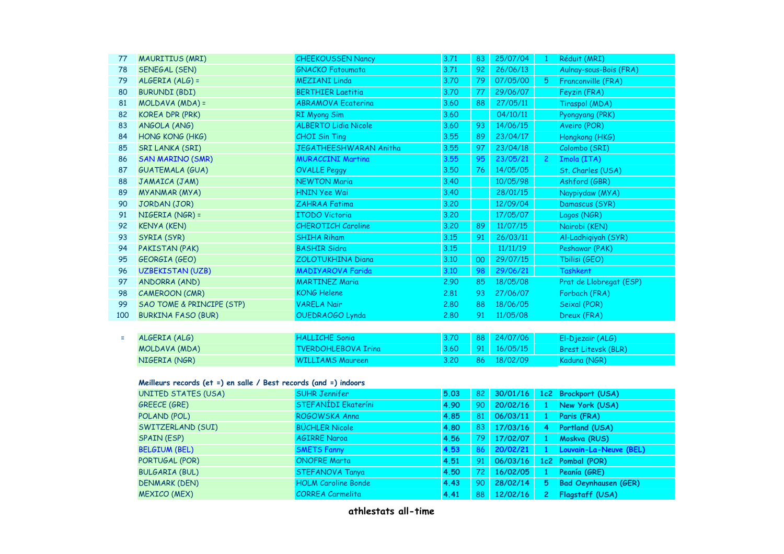| 77  | <b>MAURITIUS (MRI)</b>               | <b>CHEEKOUSSEN Nancy</b>    | 3.71 | 83 | 25/07/04 |                | Réduit (MRI)            |
|-----|--------------------------------------|-----------------------------|------|----|----------|----------------|-------------------------|
| 78  | <b>SENEGAL (SEN)</b>                 | <b>GNACKO Fatoumata</b>     | 3.71 | 92 | 26/06/13 |                | Aulnay-sous-Bois (FRA)  |
| 79  | $ALGERIA(ALG) =$                     | <b>MEZIANI Linda</b>        | 3.70 | 79 | 07/05/00 | 5.             | Franconville (FRA)      |
| 80  | <b>BURUNDI (BDI)</b>                 | <b>BERTHIER Laetitia</b>    | 3.70 | 77 | 29/06/07 |                | Feyzin (FRA)            |
| 81  | MOLDAVA (MDA) =                      | <b>ABRAMOVA Ecaterina</b>   | 3.60 | 88 | 27/05/11 |                | Tiraspol (MDA)          |
| 82  | KOREA DPR (PRK)                      | RI Myong Sim                | 3.60 |    | 04/10/11 |                | Pyongyang (PRK)         |
| 83  | ANGOLA (ANG)                         | <b>ALBERTO Lidia Nicole</b> | 3.60 | 93 | 14/06/15 |                | Aveiro (POR)            |
| 84  | HONG KONG (HKG)                      | <b>CHOI Sin Ting</b>        | 3.55 | 89 | 23/04/17 |                | Hongkong (HKG)          |
| 85  | <b>SRI LANKA (SRI)</b>               | JEGATHEESHWARAN Anitha      | 3.55 | 97 | 23/04/18 |                | Colombo (SRI)           |
| 86  | <b>SAN MARINO (SMR)</b>              | <b>MURACCINI Martina</b>    | 3.55 | 95 | 23/05/21 | 2 <sup>2</sup> | Imola (ITA)             |
| 87  | <b>GUATEMALA (GUA)</b>               | <b>OVALLE Peggy</b>         | 3.50 | 76 | 14/05/05 |                | St. Charles (USA)       |
| 88  | JAMAICA (JAM)                        | <b>NEWTON Maria</b>         | 3.40 |    | 10/05/98 |                | Ashford (GBR)           |
| 89  | MYANMAR (MYA)                        | <b>HNIN Yee Wai</b>         | 3.40 |    | 28/01/15 |                | Naypiydaw (MYA)         |
| 90  | JORDAN (JOR)                         | <b>ZAHRAA Fatima</b>        | 3.20 |    | 12/09/04 |                | Damascus (SYR)          |
| 91  | NIGERIA (NGR) =                      | <b>ITODO Victoria</b>       | 3.20 |    | 17/05/07 |                | Lagos (NGR)             |
| 92  | <b>KENYA (KEN)</b>                   | <b>CHEROTICH Caroline</b>   | 3.20 | 89 | 11/07/15 |                | Nairobi (KEN)           |
| 93  | SYRIA (SYR)                          | <b>SHIHA Riham</b>          | 3.15 | 91 | 26/03/11 |                | Al-Ladhiqiyah (SYR)     |
| 94  | PAKISTAN (PAK)                       | <b>BASHIR Sidra</b>         | 3.15 |    | 11/11/19 |                | Peshawar (PAK)          |
| 95  | GEORGIA (GEO)                        | <b>ZOLOTUKHINA Diana</b>    | 3.10 | 00 | 29/07/15 |                | Tbilisi (GEO)           |
| 96  | <b>UZBEKISTAN (UZB)</b>              | <b>MADIYAROVA Farida</b>    | 3.10 | 98 | 29/06/21 |                | <b>Tashkent</b>         |
| 97  | ANDORRA (AND)                        | <b>MARTINEZ Maria</b>       | 2.90 | 85 | 18/05/08 |                | Prat de Llobregat (ESP) |
| 98  | <b>CAMEROON (CMR)</b>                | <b>KONG Helene</b>          | 2.81 | 93 | 27/06/07 |                | Forbach (FRA)           |
| 99  | <b>SAO TOME &amp; PRINCIPE (STP)</b> | <b>VARELA Nair</b>          | 2,80 | 88 | 18/06/05 |                | Seixal (POR)            |
| 100 | <b>BURKINA FASO (BUR)</b>            | OUEDRAOGO Lynda             | 2,80 | 91 | 11/05/08 |                | Dreux (FRA)             |

|  | ALGERIA (ALG) | <b>HALLICHE Sonia</b>      |        | 3.70 88 24/07/06     | El-Diezaïr (ALG)    |
|--|---------------|----------------------------|--------|----------------------|---------------------|
|  | MOLDAVA (MDA) | <b>TVERDOHLEBOVA Iring</b> |        | $3.60$ 91 $16/05/15$ | Brest Litevsk (BLR) |
|  | NIGERIA (NGR) | WILLIAMS Maureen           | 3.20 L | 86 18/02/09          | Kaduna (NGR)        |

## **Meilleurs records (et =) en salle / Best records (and =) indoors**

| UNITED STATES (USA)   | <b>SUHR Jennifer</b>       | 5.03 | 82  | 30/01/16    | 1c2 | Brockport (USA)             |
|-----------------------|----------------------------|------|-----|-------------|-----|-----------------------------|
| <b>GREECE (GRE)</b>   | <b>STEFANÍDI Ekateríni</b> | 4.90 | 90  | 20/02/16    |     | New York (USA)              |
| POLAND (POL)          | ROGOWSKA Anna              | 4.85 | 81  | 06/03/11    |     | Paris (FRA)                 |
| SWITZERLAND (SUI)     | <b>BÜCHLER Nicole</b>      | 4.80 | 83  | 17/03/16    | 4   | Portland (USA)              |
| SPAIN (ESP)           | <b>AGIRRE Naroa</b>        | 4.56 | 79. | 17/02/07    |     | Moskva (RUS)                |
| <b>BELGIUM (BEL)</b>  | <b>SMETS Fanny</b>         | 4.53 |     | 86 20/02/21 |     | Louvain-La-Neuve (BEL)      |
| PORTUGAL (POR)        | <b>ONOFRE Marta</b>        | 4.51 | 91  | 06/03/16    |     | 1c2 Pombal (POR)            |
| <b>BULGARIA (BUL)</b> | <b>STEFANOVA Tanya</b>     | 4.50 | 72) | 16/02/05    |     | Peanía (GRE)                |
| <b>DENMARK (DEN)</b>  | <b>HOLM Caroline Bonde</b> | 4.43 | 90  | 28/02/14    | 5   | <b>Bad Oeynhausen (GER)</b> |
| <b>MEXICO (MEX)</b>   | <b>CORREA Carmelita</b>    | 4.41 | 88  | 12/02/16    |     | Flagstaff (USA)             |